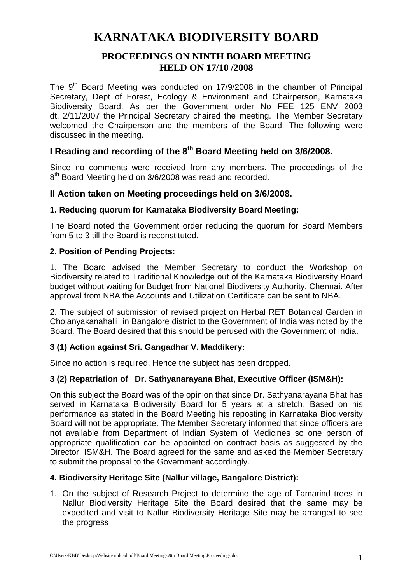# **KARNATAKA BIODIVERSITY BOARD**

## **PROCEEDINGS ON NINTH BOARD MEETING HELD ON 17/10 /2008**

The 9<sup>th</sup> Board Meeting was conducted on 17/9/2008 in the chamber of Principal Secretary, Dept of Forest, Ecology & Environment and Chairperson, Karnataka Biodiversity Board. As per the Government order No FEE 125 ENV 2003 dt. 2/11/2007 the Principal Secretary chaired the meeting. The Member Secretary welcomed the Chairperson and the members of the Board, The following were discussed in the meeting.

# **I Reading and recording of the 8th Board Meeting held on 3/6/2008.**

Since no comments were received from any members. The proceedings of the 8<sup>th</sup> Board Meeting held on 3/6/2008 was read and recorded.

## **II Action taken on Meeting proceedings held on 3/6/2008.**

## **1. Reducing quorum for Karnataka Biodiversity Board Meeting:**

The Board noted the Government order reducing the quorum for Board Members from 5 to 3 till the Board is reconstituted.

## **2. Position of Pending Projects:**

1. The Board advised the Member Secretary to conduct the Workshop on Biodiversity related to Traditional Knowledge out of the Karnataka Biodiversity Board budget without waiting for Budget from National Biodiversity Authority, Chennai. After approval from NBA the Accounts and Utilization Certificate can be sent to NBA.

2. The subject of submission of revised project on Herbal RET Botanical Garden in Cholanyakanahalli, in Bangalore district to the Government of India was noted by the Board. The Board desired that this should be perused with the Government of India.

## **3 (1) Action against Sri. Gangadhar V. Maddikery:**

Since no action is required. Hence the subject has been dropped.

## **3 (2) Repatriation of Dr. Sathyanarayana Bhat, Executive Officer (ISM&H):**

On this subject the Board was of the opinion that since Dr. Sathyanarayana Bhat has served in Karnataka Biodiversity Board for 5 years at a stretch. Based on his performance as stated in the Board Meeting his reposting in Karnataka Biodiversity Board will not be appropriate. The Member Secretary informed that since officers are not available from Department of Indian System of Medicines so one person of appropriate qualification can be appointed on contract basis as suggested by the Director, ISM&H. The Board agreed for the same and asked the Member Secretary to submit the proposal to the Government accordingly.

## **4. Biodiversity Heritage Site (Nallur village, Bangalore District):**

1. On the subject of Research Project to determine the age of Tamarind trees in Nallur Biodiversity Heritage Site the Board desired that the same may be expedited and visit to Nallur Biodiversity Heritage Site may be arranged to see the progress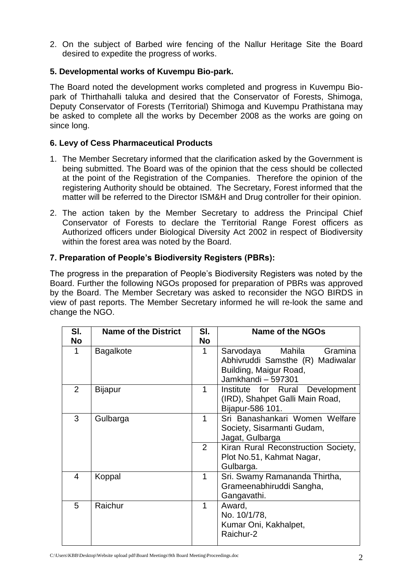2. On the subject of Barbed wire fencing of the Nallur Heritage Site the Board desired to expedite the progress of works.

## **5. Developmental works of Kuvempu Bio-park.**

The Board noted the development works completed and progress in Kuvempu Biopark of Thirthahalli taluka and desired that the Conservator of Forests, Shimoga, Deputy Conservator of Forests (Territorial) Shimoga and Kuvempu Prathistana may be asked to complete all the works by December 2008 as the works are going on since long.

## **6. Levy of Cess Pharmaceutical Products**

- 1. The Member Secretary informed that the clarification asked by the Government is being submitted. The Board was of the opinion that the cess should be collected at the point of the Registration of the Companies. Therefore the opinion of the registering Authority should be obtained. The Secretary, Forest informed that the matter will be referred to the Director ISM&H and Drug controller for their opinion.
- 2. The action taken by the Member Secretary to address the Principal Chief Conservator of Forests to declare the Territorial Range Forest officers as Authorized officers under Biological Diversity Act 2002 in respect of Biodiversity within the forest area was noted by the Board.

## **7. Preparation of People's Biodiversity Registers (PBRs):**

The progress in the preparation of People's Biodiversity Registers was noted by the Board. Further the following NGOs proposed for preparation of PBRs was approved by the Board. The Member Secretary was asked to reconsider the NGO BIRDS in view of past reports. The Member Secretary informed he will re-look the same and change the NGO.

| SI. | <b>Name of the District</b> | SI.            | <b>Name of the NGOs</b>                                                                                            |
|-----|-----------------------------|----------------|--------------------------------------------------------------------------------------------------------------------|
| No  |                             | No             |                                                                                                                    |
| 1   | <b>Bagalkote</b>            | 1              | Gramina<br>Mahila<br>Sarvodaya<br>Abhivruddi Samsthe (R) Madiwalar<br>Building, Maigur Road,<br>Jamkhandi - 597301 |
| 2   | Bijapur                     | 1              | Institute for Rural Development<br>(IRD), Shahpet Galli Main Road,<br>Bijapur-586 101.                             |
| 3   | Gulbarga                    | 1              | Sri Banashankari Women Welfare<br>Society, Sisarmanti Gudam,<br>Jagat, Gulbarga                                    |
|     |                             | $\overline{2}$ | Kiran Rural Reconstruction Society,<br>Plot No.51, Kahmat Nagar,<br>Gulbarga.                                      |
| 4   | Koppal                      | 1              | Sri. Swamy Ramananda Thirtha,<br>Grameenabhiruddi Sangha,<br>Gangavathi.                                           |
| 5   | Raichur                     | 1              | Award,<br>No. 10/1/78,<br>Kumar Oni, Kakhalpet,<br>Raichur-2                                                       |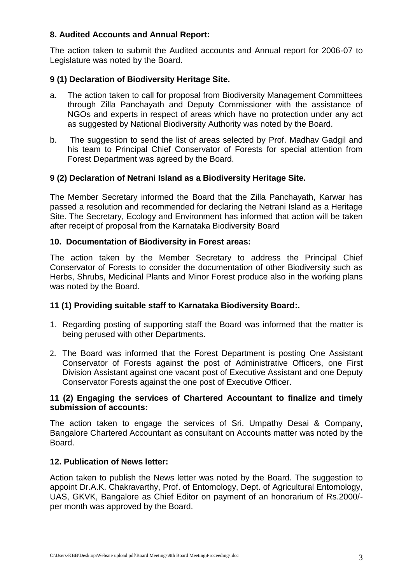## **8. Audited Accounts and Annual Report:**

The action taken to submit the Audited accounts and Annual report for 2006-07 to Legislature was noted by the Board.

## **9 (1) Declaration of Biodiversity Heritage Site.**

- a. The action taken to call for proposal from Biodiversity Management Committees through Zilla Panchayath and Deputy Commissioner with the assistance of NGOs and experts in respect of areas which have no protection under any act as suggested by National Biodiversity Authority was noted by the Board.
- b. The suggestion to send the list of areas selected by Prof. Madhav Gadgil and his team to Principal Chief Conservator of Forests for special attention from Forest Department was agreed by the Board.

## **9 (2) Declaration of Netrani Island as a Biodiversity Heritage Site.**

The Member Secretary informed the Board that the Zilla Panchayath, Karwar has passed a resolution and recommended for declaring the Netrani Island as a Heritage Site. The Secretary, Ecology and Environment has informed that action will be taken after receipt of proposal from the Karnataka Biodiversity Board

## **10. Documentation of Biodiversity in Forest areas:**

The action taken by the Member Secretary to address the Principal Chief Conservator of Forests to consider the documentation of other Biodiversity such as Herbs, Shrubs, Medicinal Plants and Minor Forest produce also in the working plans was noted by the Board.

## **11 (1) Providing suitable staff to Karnataka Biodiversity Board:.**

- 1. Regarding posting of supporting staff the Board was informed that the matter is being perused with other Departments.
- 2. The Board was informed that the Forest Department is posting One Assistant Conservator of Forests against the post of Administrative Officers, one First Division Assistant against one vacant post of Executive Assistant and one Deputy Conservator Forests against the one post of Executive Officer.

#### **11 (2) Engaging the services of Chartered Accountant to finalize and timely submission of accounts:**

The action taken to engage the services of Sri. Umpathy Desai & Company, Bangalore Chartered Accountant as consultant on Accounts matter was noted by the Board.

## **12. Publication of News letter:**

Action taken to publish the News letter was noted by the Board. The suggestion to appoint Dr.A.K. Chakravarthy, Prof. of Entomology, Dept. of Agricultural Entomology, UAS, GKVK, Bangalore as Chief Editor on payment of an honorarium of Rs.2000/ per month was approved by the Board.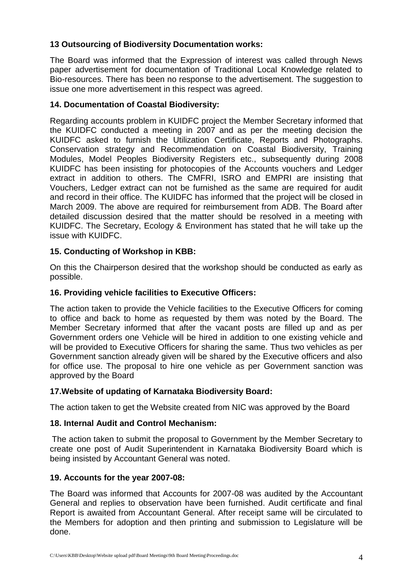## **13 Outsourcing of Biodiversity Documentation works:**

The Board was informed that the Expression of interest was called through News paper advertisement for documentation of Traditional Local Knowledge related to Bio-resources. There has been no response to the advertisement. The suggestion to issue one more advertisement in this respect was agreed.

## **14. Documentation of Coastal Biodiversity:**

Regarding accounts problem in KUIDFC project the Member Secretary informed that the KUIDFC conducted a meeting in 2007 and as per the meeting decision the KUIDFC asked to furnish the Utilization Certificate, Reports and Photographs. Conservation strategy and Recommendation on Coastal Biodiversity, Training Modules, Model Peoples Biodiversity Registers etc., subsequently during 2008 KUIDFC has been insisting for photocopies of the Accounts vouchers and Ledger extract in addition to others. The CMFRI, ISRO and EMPRI are insisting that Vouchers, Ledger extract can not be furnished as the same are required for audit and record in their office. The KUIDFC has informed that the project will be closed in March 2009. The above are required for reimbursement from ADB. The Board after detailed discussion desired that the matter should be resolved in a meeting with KUIDFC. The Secretary, Ecology & Environment has stated that he will take up the issue with KUIDFC.

## **15. Conducting of Workshop in KBB:**

On this the Chairperson desired that the workshop should be conducted as early as possible.

## **16. Providing vehicle facilities to Executive Officers:**

The action taken to provide the Vehicle facilities to the Executive Officers for coming to office and back to home as requested by them was noted by the Board. The Member Secretary informed that after the vacant posts are filled up and as per Government orders one Vehicle will be hired in addition to one existing vehicle and will be provided to Executive Officers for sharing the same. Thus two vehicles as per Government sanction already given will be shared by the Executive officers and also for office use. The proposal to hire one vehicle as per Government sanction was approved by the Board

## **17.Website of updating of Karnataka Biodiversity Board:**

The action taken to get the Website created from NIC was approved by the Board

## **18. Internal Audit and Control Mechanism:**

The action taken to submit the proposal to Government by the Member Secretary to create one post of Audit Superintendent in Karnataka Biodiversity Board which is being insisted by Accountant General was noted.

## **19. Accounts for the year 2007-08:**

The Board was informed that Accounts for 2007-08 was audited by the Accountant General and replies to observation have been furnished. Audit certificate and final Report is awaited from Accountant General. After receipt same will be circulated to the Members for adoption and then printing and submission to Legislature will be done.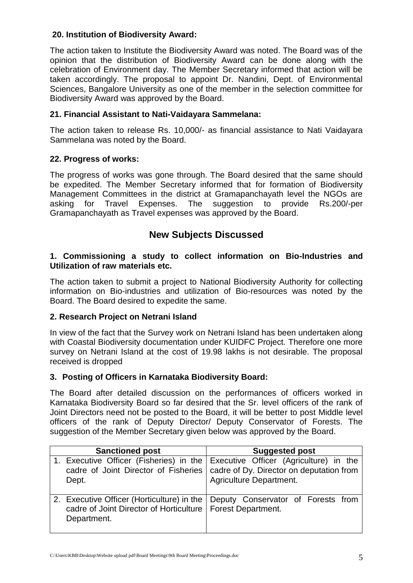## **20. Institution of Biodiversity Award:**

The action taken to Institute the Biodiversity Award was noted. The Board was of the opinion that the distribution of Biodiversity Award can be done along with the celebration of Environment day. The Member Secretary informed that action will be taken accordingly. The proposal to appoint Dr. Nandini, Dept. of Environmental Sciences, Bangalore University as one of the member in the selection committee for Biodiversity Award was approved by the Board.

## **21. Financial Assistant to Nati-Vaidayara Sammelana:**

The action taken to release Rs. 10,000/- as financial assistance to Nati Vaidayara Sammelana was noted by the Board.

## **22. Progress of works:**

The progress of works was gone through. The Board desired that the same should be expedited. The Member Secretary informed that for formation of Biodiversity Management Committees in the district at Gramapanchayath level the NGOs are asking for Travel Expenses. The suggestion to provide Rs.200/-per Gramapanchayath as Travel expenses was approved by the Board.

## **New Subjects Discussed**

## **1. Commissioning a study to collect information on Bio-Industries and Utilization of raw materials etc.**

The action taken to submit a project to National Biodiversity Authority for collecting information on Bio-industries and utilization of Bio-resources was noted by the Board. The Board desired to expedite the same.

## **2. Research Project on Netrani Island**

In view of the fact that the Survey work on Netrani Island has been undertaken along with Coastal Biodiversity documentation under KUIDFC Project. Therefore one more survey on Netrani Island at the cost of 19.98 lakhs is not desirable. The proposal received is dropped

## **3. Posting of Officers in Karnataka Biodiversity Board:**

The Board after detailed discussion on the performances of officers worked in Karnataka Biodiversity Board so far desired that the Sr. level officers of the rank of Joint Directors need not be posted to the Board, it will be better to post Middle level officers of the rank of Deputy Director/ Deputy Conservator of Forests. The suggestion of the Member Secretary given below was approved by the Board.

| <b>Sanctioned post</b>                                                                  | <b>Suggested post</b>                                                                                      |
|-----------------------------------------------------------------------------------------|------------------------------------------------------------------------------------------------------------|
| 1. Executive Officer (Fisheries) in the Executive Officer (Agriculture) in the<br>Dept. | cadre of Joint Director of Fisheries   cadre of Dy. Director on deputation from<br>Agriculture Department. |
| cadre of Joint Director of Horticulture   Forest Department.<br>Department.             | 2. Executive Officer (Horticulture) in the Deputy Conservator of Forests from                              |